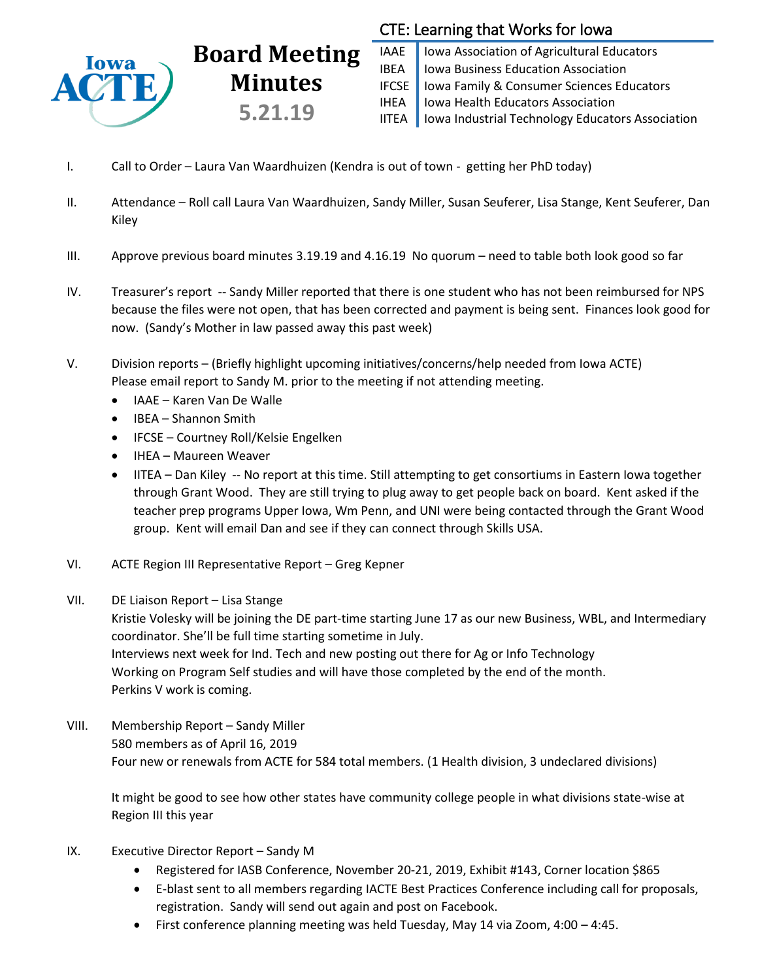

# CTE: Learning that Works for Iowa

IAAE | Iowa Association of Agricultural Educators IBEA | Iowa Business Education Association IFCSE Iowa Family & Consumer Sciences Educators IHEA | Iowa Health Educators Association IITEA | Iowa Industrial Technology Educators Association

I. Call to Order – Laura Van Waardhuizen (Kendra is out of town - getting her PhD today)

**Board Meeting**

**Minutes**

**5.21.19**

- II. Attendance Roll call Laura Van Waardhuizen, Sandy Miller, Susan Seuferer, Lisa Stange, Kent Seuferer, Dan Kiley
- III. Approve previous board minutes 3.19.19 and 4.16.19 No quorum need to table both look good so far
- IV. Treasurer's report -- Sandy Miller reported that there is one student who has not been reimbursed for NPS because the files were not open, that has been corrected and payment is being sent. Finances look good for now. (Sandy's Mother in law passed away this past week)
- V. Division reports (Briefly highlight upcoming initiatives/concerns/help needed from Iowa ACTE) Please email report to Sandy M. prior to the meeting if not attending meeting.
	- IAAE Karen Van De Walle
	- IBEA Shannon Smith
	- IFCSE Courtney Roll/Kelsie Engelken
	- IHEA Maureen Weaver
	- IITEA Dan Kiley -- No report at this time. Still attempting to get consortiums in Eastern Iowa together through Grant Wood. They are still trying to plug away to get people back on board. Kent asked if the teacher prep programs Upper Iowa, Wm Penn, and UNI were being contacted through the Grant Wood group. Kent will email Dan and see if they can connect through Skills USA.
- VI. ACTE Region III Representative Report Greg Kepner
- VII. DE Liaison Report Lisa Stange

Kristie Volesky will be joining the DE part-time starting June 17 as our new Business, WBL, and Intermediary coordinator. She'll be full time starting sometime in July. Interviews next week for Ind. Tech and new posting out there for Ag or Info Technology

Working on Program Self studies and will have those completed by the end of the month. Perkins V work is coming.

VIII. Membership Report – Sandy Miller 580 members as of April 16, 2019 Four new or renewals from ACTE for 584 total members. (1 Health division, 3 undeclared divisions)

It might be good to see how other states have community college people in what divisions state-wise at Region III this year

- IX. Executive Director Report Sandy M
	- Registered for IASB Conference, November 20-21, 2019, Exhibit #143, Corner location \$865
	- E-blast sent to all members regarding IACTE Best Practices Conference including call for proposals, registration. Sandy will send out again and post on Facebook.
	- First conference planning meeting was held Tuesday, May 14 via Zoom, 4:00 4:45.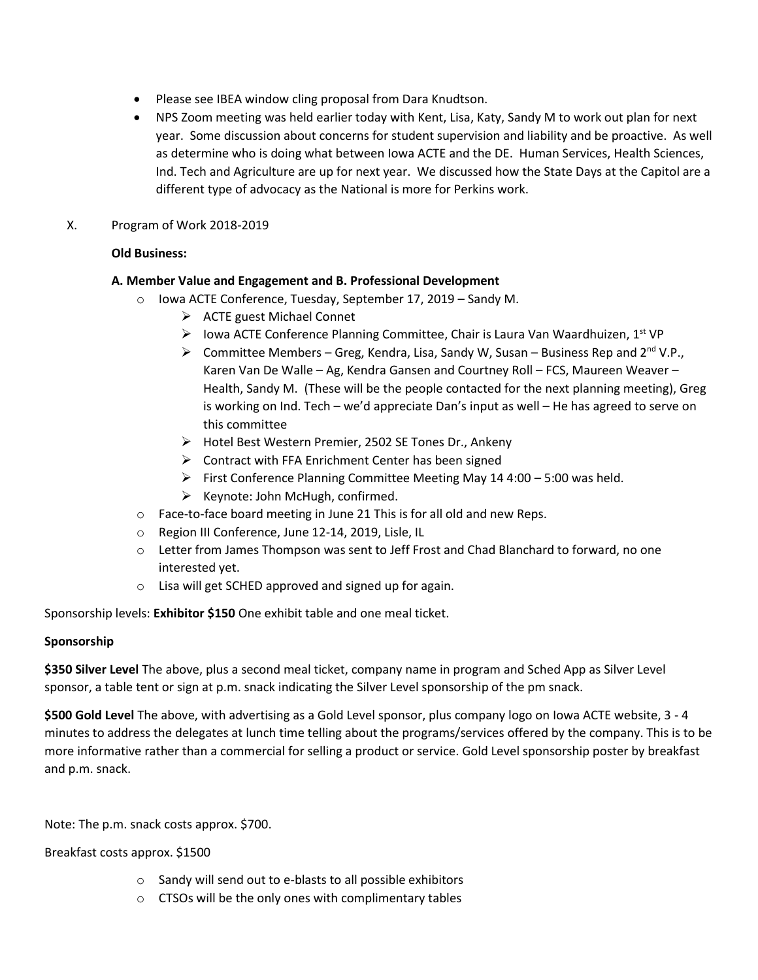- Please see IBEA window cling proposal from Dara Knudtson.
- NPS Zoom meeting was held earlier today with Kent, Lisa, Katy, Sandy M to work out plan for next year. Some discussion about concerns for student supervision and liability and be proactive. As well as determine who is doing what between Iowa ACTE and the DE. Human Services, Health Sciences, Ind. Tech and Agriculture are up for next year. We discussed how the State Days at the Capitol are a different type of advocacy as the National is more for Perkins work.

## X. Program of Work 2018-2019

# **Old Business:**

## **A. Member Value and Engagement and B. Professional Development**

- o Iowa ACTE Conference, Tuesday, September 17, 2019 Sandy M.
	- $\triangleright$  ACTE guest Michael Connet
	- Iowa ACTE Conference Planning Committee, Chair is Laura Van Waardhuizen,  $1^{st}$  VP
	- $\triangleright$  Committee Members Greg, Kendra, Lisa, Sandy W, Susan Business Rep and 2<sup>nd</sup> V.P., Karen Van De Walle – Ag, Kendra Gansen and Courtney Roll – FCS, Maureen Weaver – Health, Sandy M. (These will be the people contacted for the next planning meeting), Greg is working on Ind. Tech – we'd appreciate Dan's input as well – He has agreed to serve on this committee
	- Hotel Best Western Premier, 2502 SE Tones Dr., Ankeny
	- $\triangleright$  Contract with FFA Enrichment Center has been signed
	- First Conference Planning Committee Meeting May 14  $4:00 5:00$  was held.
	- $\triangleright$  Keynote: John McHugh, confirmed.
- o Face-to-face board meeting in June 21 This is for all old and new Reps.
- o Region III Conference, June 12-14, 2019, Lisle, IL
- o Letter from James Thompson was sent to Jeff Frost and Chad Blanchard to forward, no one interested yet.
- o Lisa will get SCHED approved and signed up for again.

Sponsorship levels: **Exhibitor \$150** One exhibit table and one meal ticket.

# **Sponsorship**

**\$350 Silver Level** The above, plus a second meal ticket, company name in program and Sched App as Silver Level sponsor, a table tent or sign at p.m. snack indicating the Silver Level sponsorship of the pm snack.

**\$500 Gold Level** The above, with advertising as a Gold Level sponsor, plus company logo on Iowa ACTE website, 3 - 4 minutes to address the delegates at lunch time telling about the programs/services offered by the company. This is to be more informative rather than a commercial for selling a product or service. Gold Level sponsorship poster by breakfast and p.m. snack.

Note: The p.m. snack costs approx. \$700.

Breakfast costs approx. \$1500

- o Sandy will send out to e-blasts to all possible exhibitors
- o CTSOs will be the only ones with complimentary tables